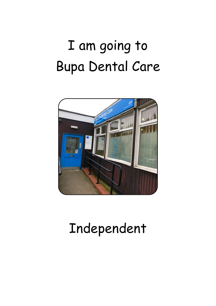## I am going to Bupa Dental Care



## Independent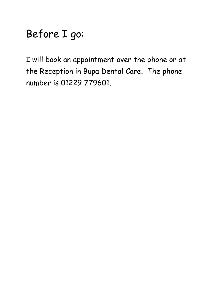## Before I go:

I will book an appointment over the phone or at the Reception in Bupa Dental Care. The phone number is 01229 779601.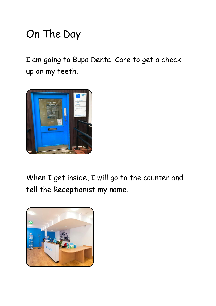## On The Day

I am going to Bupa Dental Care to get a checkup on my teeth.



When I get inside, I will go to the counter and tell the Receptionist my name.

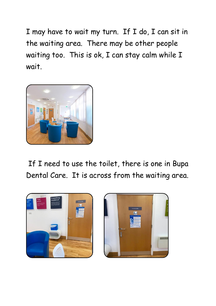I may have to wait my turn. If I do, I can sit in the waiting area. There may be other people waiting too. This is ok, I can stay calm while I wait.



If I need to use the toilet, there is one in Bupa Dental Care. It is across from the waiting area.



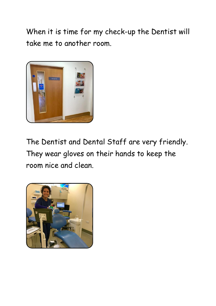When it is time for my check-up the Dentist will take me to another room.



The Dentist and Dental Staff are very friendly. They wear gloves on their hands to keep the room nice and clean.

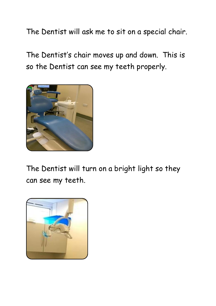The Dentist will ask me to sit on a special chair.

The Dentist's chair moves up and down. This is so the Dentist can see my teeth properly.



The Dentist will turn on a bright light so they can see my teeth.

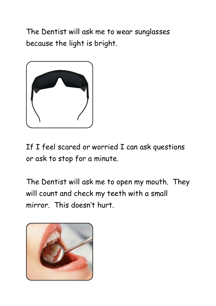The Dentist will ask me to wear sunglasses because the light is bright.



If I feel scared or worried I can ask questions or ask to stop for a minute.

The Dentist will ask me to open my mouth. They will count and check my teeth with a small mirror. This doesn't hurt.